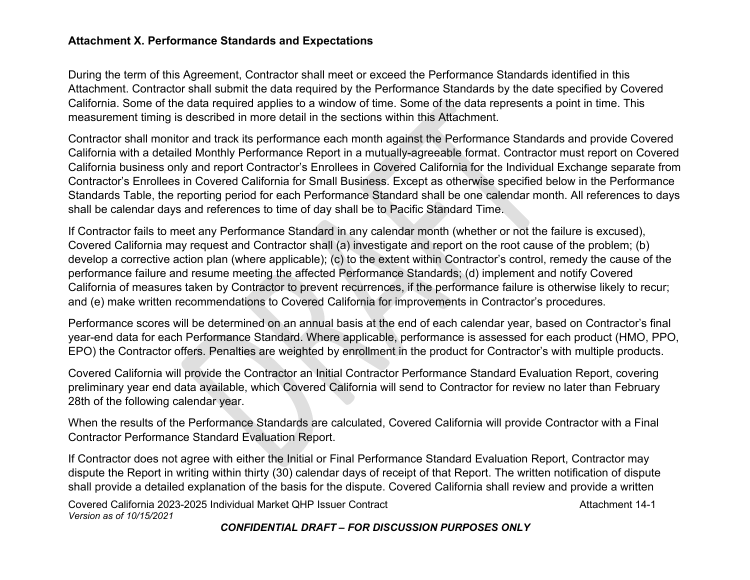## **Attachment X. Performance Standards and Expectations**

During the term of this Agreement, Contractor shall meet or exceed the Performance Standards identified in this Attachment. Contractor shall submit the data required by the Performance Standards by the date specified by Covered California. Some of the data required applies to a window of time. Some of the data represents a point in time. This measurement timing is described in more detail in the sections within this Attachment.

Contractor shall monitor and track its performance each month against the Performance Standards and provide Covered California with a detailed Monthly Performance Report in a mutually-agreeable format. Contractor must report on Covered California business only and report Contractor's Enrollees in Covered California for the Individual Exchange separate from Contractor's Enrollees in Covered California for Small Business. Except as otherwise specified below in the Performance Standards Table, the reporting period for each Performance Standard shall be one calendar month. All references to days shall be calendar days and references to time of day shall be to Pacific Standard Time.

If Contractor fails to meet any Performance Standard in any calendar month (whether or not the failure is excused), Covered California may request and Contractor shall (a) investigate and report on the root cause of the problem; (b) develop a corrective action plan (where applicable); (c) to the extent within Contractor's control, remedy the cause of the performance failure and resume meeting the affected Performance Standards; (d) implement and notify Covered California of measures taken by Contractor to prevent recurrences, if the performance failure is otherwise likely to recur; and (e) make written recommendations to Covered California for improvements in Contractor's procedures.

Performance scores will be determined on an annual basis at the end of each calendar year, based on Contractor's final year-end data for each Performance Standard. Where applicable, performance is assessed for each product (HMO, PPO, EPO) the Contractor offers. Penalties are weighted by enrollment in the product for Contractor's with multiple products.

Covered California will provide the Contractor an Initial Contractor Performance Standard Evaluation Report, covering preliminary year end data available, which Covered California will send to Contractor for review no later than February 28th of the following calendar year.

When the results of the Performance Standards are calculated, Covered California will provide Contractor with a Final Contractor Performance Standard Evaluation Report.

If Contractor does not agree with either the Initial or Final Performance Standard Evaluation Report, Contractor may dispute the Report in writing within thirty (30) calendar days of receipt of that Report. The written notification of dispute shall provide a detailed explanation of the basis for the dispute. Covered California shall review and provide a written

Covered California 2023-2025 Individual Market QHP Issuer Contract **Attachment 14-1** Attachment 14-1 *Version as of 10/15/2021*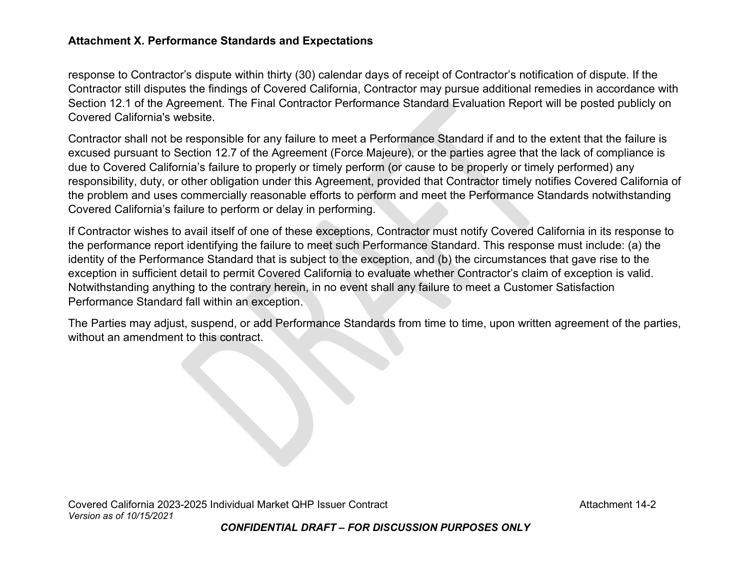## **Attachment X. Performance Standards and Expectations**

response to Contractor's dispute within thirty (30) calendar days of receipt of Contractor's notification of dispute. If the Contractor still disputes the findings of Covered California, Contractor may pursue additional remedies in accordance with Section 12.1 of the Agreement. The Final Contractor Performance Standard Evaluation Report will be posted publicly on Covered California's website.

Contractor shall not be responsible for any failure to meet a Performance Standard if and to the extent that the failure is excused pursuant to Section 12.7 of the Agreement (Force Majeure), or the parties agree that the lack of compliance is due to Covered California's failure to properly or timely perform (or cause to be properly or timely performed) any responsibility, duty, or other obligation under this Agreement, provided that Contractor timely notifies Covered California of the problem and uses commercially reasonable efforts to perform and meet the Performance Standards notwithstanding Covered California's failure to perform or delay in performing.

If Contractor wishes to avail itself of one of these exceptions, Contractor must notify Covered California in its response to the performance report identifying the failure to meet such Performance Standard. This response must include: (a) the identity of the Performance Standard that is subject to the exception, and (b) the circumstances that gave rise to the exception in sufficient detail to permit Covered California to evaluate whether Contractor's claim of exception is valid. Notwithstanding anything to the contrary herein, in no event shall any failure to meet a Customer Satisfaction Performance Standard fall within an exception.

The Parties may adjust, suspend, or add Performance Standards from time to time, upon written agreement of the parties, without an amendment to this contract.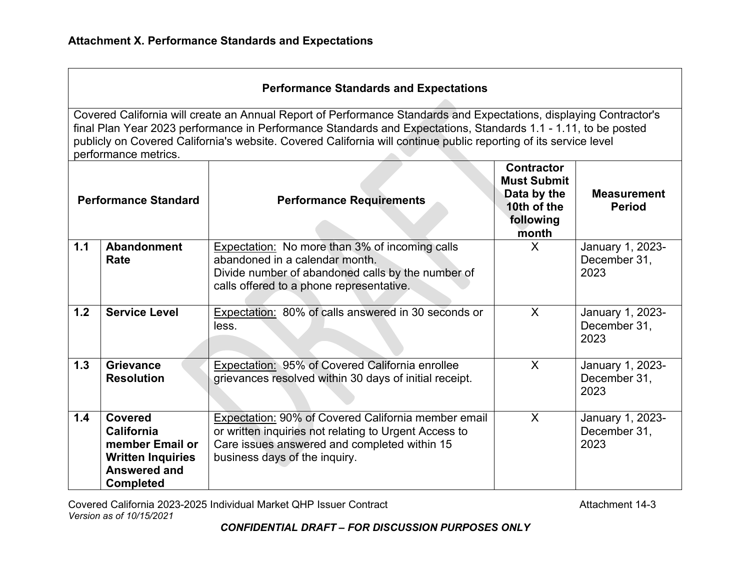| <b>Performance Standards and Expectations</b> |  |  |  |
|-----------------------------------------------|--|--|--|
|-----------------------------------------------|--|--|--|

Covered California will create an Annual Report of Performance Standards and Expectations, displaying Contractor's final Plan Year 2023 performance in Performance Standards and Expectations, Standards 1.1 - 1.11, to be posted publicly on Covered California's website. Covered California will continue public reporting of its service level performance metrics.

|     | <b>Performance Standard</b>                                                                                                   | <b>Performance Requirements</b>                                                                                                                                                                      | <b>Contractor</b><br><b>Must Submit</b><br>Data by the<br>10th of the<br>following<br>month | <b>Measurement</b><br><b>Period</b>      |
|-----|-------------------------------------------------------------------------------------------------------------------------------|------------------------------------------------------------------------------------------------------------------------------------------------------------------------------------------------------|---------------------------------------------------------------------------------------------|------------------------------------------|
| 1.1 | <b>Abandonment</b><br>Rate                                                                                                    | <b>Expectation:</b> No more than 3% of incoming calls<br>abandoned in a calendar month.<br>Divide number of abandoned calls by the number of<br>calls offered to a phone representative.             | X                                                                                           | January 1, 2023-<br>December 31,<br>2023 |
| 1.2 | <b>Service Level</b>                                                                                                          | Expectation: 80% of calls answered in 30 seconds or<br>less.                                                                                                                                         | X                                                                                           | January 1, 2023-<br>December 31,<br>2023 |
| 1.3 | <b>Grievance</b><br><b>Resolution</b>                                                                                         | Expectation: 95% of Covered California enrollee<br>grievances resolved within 30 days of initial receipt.                                                                                            | X                                                                                           | January 1, 2023-<br>December 31,<br>2023 |
| 1.4 | <b>Covered</b><br><b>California</b><br>member Email or<br><b>Written Inquiries</b><br><b>Answered and</b><br><b>Completed</b> | <b>Expectation: 90% of Covered California member email</b><br>or written inquiries not relating to Urgent Access to<br>Care issues answered and completed within 15<br>business days of the inquiry. | $\sf X$                                                                                     | January 1, 2023-<br>December 31,<br>2023 |

Covered California 2023-2025 Individual Market QHP Issuer Contract **Attachment 14-3** Attachment 14-3 *Version as of 10/15/2021*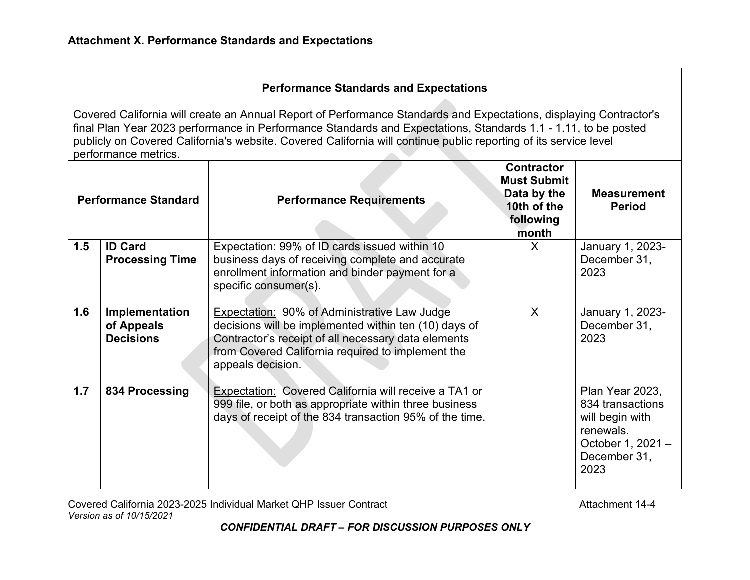| <b>Performance Standards and Expectations</b>                                                                                                                                                                                                                                                                                                                                    |                                                  |                                                                                                                                                                                                                                               |                                                                                             |                                                                                                                  |
|----------------------------------------------------------------------------------------------------------------------------------------------------------------------------------------------------------------------------------------------------------------------------------------------------------------------------------------------------------------------------------|--------------------------------------------------|-----------------------------------------------------------------------------------------------------------------------------------------------------------------------------------------------------------------------------------------------|---------------------------------------------------------------------------------------------|------------------------------------------------------------------------------------------------------------------|
| Covered California will create an Annual Report of Performance Standards and Expectations, displaying Contractor's<br>final Plan Year 2023 performance in Performance Standards and Expectations, Standards 1.1 - 1.11, to be posted<br>publicly on Covered California's website. Covered California will continue public reporting of its service level<br>performance metrics. |                                                  |                                                                                                                                                                                                                                               |                                                                                             |                                                                                                                  |
|                                                                                                                                                                                                                                                                                                                                                                                  | <b>Performance Standard</b>                      | <b>Performance Requirements</b>                                                                                                                                                                                                               | <b>Contractor</b><br><b>Must Submit</b><br>Data by the<br>10th of the<br>following<br>month | <b>Measurement</b><br><b>Period</b>                                                                              |
| 1.5                                                                                                                                                                                                                                                                                                                                                                              | <b>ID Card</b><br><b>Processing Time</b>         | Expectation: 99% of ID cards issued within 10<br>business days of receiving complete and accurate<br>enrollment information and binder payment for a<br>specific consumer(s).                                                                 | $\mathsf{X}$                                                                                | January 1, 2023-<br>December 31,<br>2023                                                                         |
| 1.6                                                                                                                                                                                                                                                                                                                                                                              | Implementation<br>of Appeals<br><b>Decisions</b> | <b>Expectation: 90% of Administrative Law Judge</b><br>decisions will be implemented within ten (10) days of<br>Contractor's receipt of all necessary data elements<br>from Covered California required to implement the<br>appeals decision. | $\mathsf{X}$                                                                                | January 1, 2023-<br>December 31,<br>2023                                                                         |
| 1.7                                                                                                                                                                                                                                                                                                                                                                              | 834 Processing                                   | Expectation: Covered California will receive a TA1 or<br>999 file, or both as appropriate within three business<br>days of receipt of the 834 transaction 95% of the time.                                                                    |                                                                                             | Plan Year 2023,<br>834 transactions<br>will begin with<br>renewals.<br>October 1, 2021 -<br>December 31,<br>2023 |

Covered California 2023-2025 Individual Market QHP Issuer Contract Contract Covered California 2023-2025 Individual Market QHP Issuer Contract *Version as of 10/15/2021*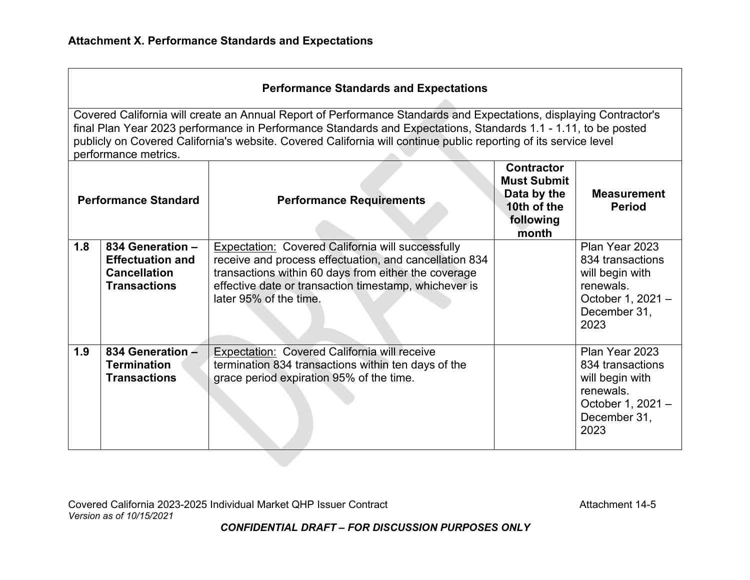| <b>Performance Standards and Expectations</b> |                                                                                                                                                                                                                                                                                                                                                                                  |                                                                                                                                                                                                                                                               |                                                                                             |                                                                                                                 |  |  |
|-----------------------------------------------|----------------------------------------------------------------------------------------------------------------------------------------------------------------------------------------------------------------------------------------------------------------------------------------------------------------------------------------------------------------------------------|---------------------------------------------------------------------------------------------------------------------------------------------------------------------------------------------------------------------------------------------------------------|---------------------------------------------------------------------------------------------|-----------------------------------------------------------------------------------------------------------------|--|--|
|                                               | Covered California will create an Annual Report of Performance Standards and Expectations, displaying Contractor's<br>final Plan Year 2023 performance in Performance Standards and Expectations, Standards 1.1 - 1.11, to be posted<br>publicly on Covered California's website. Covered California will continue public reporting of its service level<br>performance metrics. |                                                                                                                                                                                                                                                               |                                                                                             |                                                                                                                 |  |  |
| <b>Performance Standard</b>                   |                                                                                                                                                                                                                                                                                                                                                                                  | <b>Performance Requirements</b>                                                                                                                                                                                                                               | <b>Contractor</b><br><b>Must Submit</b><br>Data by the<br>10th of the<br>following<br>month | <b>Measurement</b><br><b>Period</b>                                                                             |  |  |
| 1.8                                           | 834 Generation -<br><b>Effectuation and</b><br><b>Cancellation</b><br><b>Transactions</b>                                                                                                                                                                                                                                                                                        | <b>Expectation: Covered California will successfully</b><br>receive and process effectuation, and cancellation 834<br>transactions within 60 days from either the coverage<br>effective date or transaction timestamp, whichever is<br>later 95% of the time. |                                                                                             | Plan Year 2023<br>834 transactions<br>will begin with<br>renewals.<br>October 1, 2021 -<br>December 31,<br>2023 |  |  |
| 1.9                                           | 834 Generation -<br><b>Termination</b><br><b>Transactions</b>                                                                                                                                                                                                                                                                                                                    | <b>Expectation: Covered California will receive</b><br>termination 834 transactions within ten days of the<br>grace period expiration 95% of the time.                                                                                                        |                                                                                             | Plan Year 2023<br>834 transactions<br>will begin with<br>renewals.<br>October 1, 2021 -<br>December 31,<br>2023 |  |  |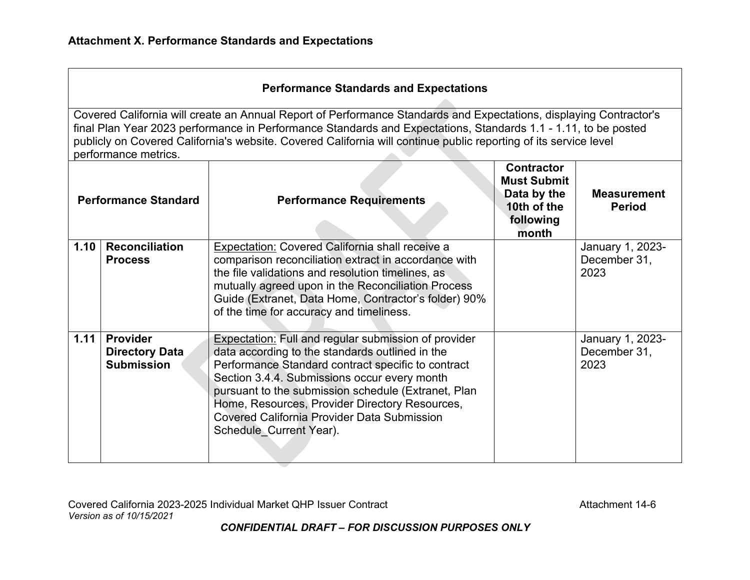| <b>Performance Standards and Expectations</b> |  |
|-----------------------------------------------|--|
|-----------------------------------------------|--|

Covered California will create an Annual Report of Performance Standards and Expectations, displaying Contractor's final Plan Year 2023 performance in Performance Standards and Expectations, Standards 1.1 - 1.11, to be posted publicly on Covered California's website. Covered California will continue public reporting of its service level performance metrics. 

|      | <b>Performance Standard</b>                                   | <b>Performance Requirements</b>                                                                                                                                                                                                                                                                                                                                                                                | <b>Contractor</b><br><b>Must Submit</b><br>Data by the<br>10th of the<br>following<br>month | <b>Measurement</b><br><b>Period</b>      |
|------|---------------------------------------------------------------|----------------------------------------------------------------------------------------------------------------------------------------------------------------------------------------------------------------------------------------------------------------------------------------------------------------------------------------------------------------------------------------------------------------|---------------------------------------------------------------------------------------------|------------------------------------------|
| 1.10 | <b>Reconciliation</b>                                         | Expectation: Covered California shall receive a                                                                                                                                                                                                                                                                                                                                                                |                                                                                             | January 1, 2023-                         |
|      | <b>Process</b>                                                | comparison reconciliation extract in accordance with<br>the file validations and resolution timelines, as<br>mutually agreed upon in the Reconciliation Process<br>Guide (Extranet, Data Home, Contractor's folder) 90%<br>of the time for accuracy and timeliness.                                                                                                                                            |                                                                                             | December 31,<br>2023                     |
| 1.11 | <b>Provider</b><br><b>Directory Data</b><br><b>Submission</b> | <b>Expectation:</b> Full and regular submission of provider<br>data according to the standards outlined in the<br>Performance Standard contract specific to contract<br>Section 3.4.4. Submissions occur every month<br>pursuant to the submission schedule (Extranet, Plan<br>Home, Resources, Provider Directory Resources,<br><b>Covered California Provider Data Submission</b><br>Schedule Current Year). |                                                                                             | January 1, 2023-<br>December 31,<br>2023 |